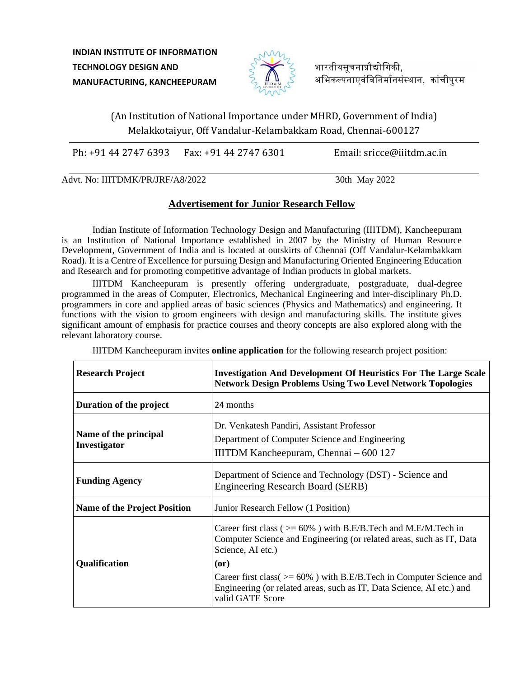**INDIAN INSTITUTE OF INFORMATION TECHNOLOGY DESIGN AND MANUFACTURING, KANCHEEPURAM**



भारतीयसचनाप्रौद्योगिकी. अभिकल्पनाएवंविनिर्मानसंस्थान, कांचीपुरम

(An Institution of National Importance under MHRD, Government of India) Melakkotaiyur, Off Vandalur-Kelambakkam Road, Chennai-600127

Ph: +91 44 2747 6393 Fax: +91 44 2747 6301 Email: sricce@iiitdm.ac.in

Advt. No: IIITDMK/PR/JRF/A8/2022 30th May 2022

## **Advertisement for Junior Research Fellow**

Indian Institute of Information Technology Design and Manufacturing (IIITDM), Kancheepuram is an Institution of National Importance established in 2007 by the Ministry of Human Resource Development, Government of India and is located at outskirts of Chennai (Off Vandalur-Kelambakkam Road). It is a Centre of Excellence for pursuing Design and Manufacturing Oriented Engineering Education and Research and for promoting competitive advantage of Indian products in global markets.

IIITDM Kancheepuram is presently offering undergraduate, postgraduate, dual-degree programmed in the areas of Computer, Electronics, Mechanical Engineering and inter-disciplinary Ph.D. programmers in core and applied areas of basic sciences (Physics and Mathematics) and engineering. It functions with the vision to groom engineers with design and manufacturing skills. The institute gives significant amount of emphasis for practice courses and theory concepts are also explored along with the relevant laboratory course.

| <b>Research Project</b>               | <b>Investigation And Development Of Heuristics For The Large Scale</b><br><b>Network Design Problems Using Two Level Network Topologies</b>                              |
|---------------------------------------|--------------------------------------------------------------------------------------------------------------------------------------------------------------------------|
| Duration of the project               | 24 months                                                                                                                                                                |
| Name of the principal<br>Investigator | Dr. Venkatesh Pandiri, Assistant Professor<br>Department of Computer Science and Engineering<br>IIITDM Kancheepuram, Chennai $-600$ 127                                  |
| <b>Funding Agency</b>                 | Department of Science and Technology (DST) - Science and<br><b>Engineering Research Board (SERB)</b>                                                                     |
| <b>Name of the Project Position</b>   | Junior Research Fellow (1 Position)                                                                                                                                      |
| Qualification                         | Career first class ( $> = 60\%$ ) with B.E/B.Tech and M.E/M.Tech in<br>Computer Science and Engineering (or related areas, such as IT, Data<br>Science, AI etc.)<br>(or) |
|                                       | Career first class( $> = 60\%$ ) with B.E/B.Tech in Computer Science and<br>Engineering (or related areas, such as IT, Data Science, AI etc.) and<br>valid GATE Score    |

IIITDM Kancheepuram invites **online application** for the following research project position: